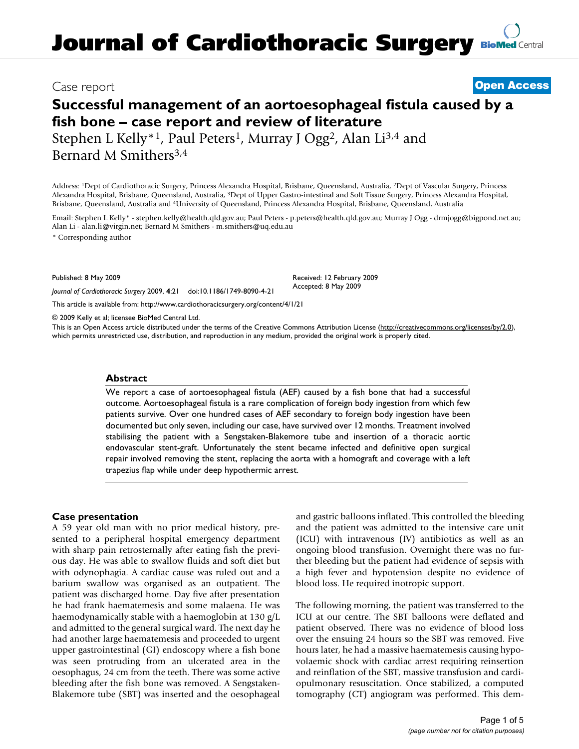## Case report **[Open Access](http://www.biomedcentral.com/info/about/charter/)**

# **Successful management of an aortoesophageal fistula caused by a fish bone – case report and review of literature**

Stephen L Kelly\*<sup>1</sup>, Paul Peters<sup>1</sup>, Murray J Ogg<sup>2</sup>, Alan Li<sup>3,4</sup> and Bernard M Smithers<sup>3,4</sup>

Address: 1Dept of Cardiothoracic Surgery, Princess Alexandra Hospital, Brisbane, Queensland, Australia, 2Dept of Vascular Surgery, Princess Alexandra Hospital, Brisbane, Queensland, Australia, 3Dept of Upper Gastro-intestinal and Soft Tissue Surgery, Princess Alexandra Hospital, Brisbane, Queensland, Australia and 4University of Queensland, Princess Alexandra Hospital, Brisbane, Queensland, Australia

Email: Stephen L Kelly\* - stephen.kelly@health.qld.gov.au; Paul Peters - p.peters@health.qld.gov.au; Murray J Ogg - drmjogg@bigpond.net.au; Alan Li - alan.li@virgin.net; Bernard M Smithers - m.smithers@uq.edu.au

\* Corresponding author

Published: 8 May 2009

*Journal of Cardiothoracic Surgery* 2009, **4**:21 doi:10.1186/1749-8090-4-21

Received: 12 February 2009 Accepted: 8 May 2009

[This article is available from: http://www.cardiothoracicsurgery.org/content/4/1/21](http://www.cardiothoracicsurgery.org/content/4/1/21)

© 2009 Kelly et al; licensee BioMed Central Ltd.

This is an Open Access article distributed under the terms of the Creative Commons Attribution License [\(http://creativecommons.org/licenses/by/2.0\)](http://creativecommons.org/licenses/by/2.0), which permits unrestricted use, distribution, and reproduction in any medium, provided the original work is properly cited.

#### **Abstract**

We report a case of aortoesophageal fistula (AEF) caused by a fish bone that had a successful outcome. Aortoesophageal fistula is a rare complication of foreign body ingestion from which few patients survive. Over one hundred cases of AEF secondary to foreign body ingestion have been documented but only seven, including our case, have survived over 12 months. Treatment involved stabilising the patient with a Sengstaken-Blakemore tube and insertion of a thoracic aortic endovascular stent-graft. Unfortunately the stent became infected and definitive open surgical repair involved removing the stent, replacing the aorta with a homograft and coverage with a left trapezius flap while under deep hypothermic arrest.

#### **Case presentation**

A 59 year old man with no prior medical history, presented to a peripheral hospital emergency department with sharp pain retrosternally after eating fish the previous day. He was able to swallow fluids and soft diet but with odynophagia. A cardiac cause was ruled out and a barium swallow was organised as an outpatient. The patient was discharged home. Day five after presentation he had frank haematemesis and some malaena. He was haemodynamically stable with a haemoglobin at 130 g/L and admitted to the general surgical ward. The next day he had another large haematemesis and proceeded to urgent upper gastrointestinal (GI) endoscopy where a fish bone was seen protruding from an ulcerated area in the oesophagus, 24 cm from the teeth. There was some active bleeding after the fish bone was removed. A Sengstaken-Blakemore tube (SBT) was inserted and the oesophageal and gastric balloons inflated. This controlled the bleeding and the patient was admitted to the intensive care unit (ICU) with intravenous (IV) antibiotics as well as an ongoing blood transfusion. Overnight there was no further bleeding but the patient had evidence of sepsis with a high fever and hypotension despite no evidence of blood loss. He required inotropic support.

The following morning, the patient was transferred to the ICU at our centre. The SBT balloons were deflated and patient observed. There was no evidence of blood loss over the ensuing 24 hours so the SBT was removed. Five hours later, he had a massive haematemesis causing hypovolaemic shock with cardiac arrest requiring reinsertion and reinflation of the SBT, massive transfusion and cardiopulmonary resuscitation. Once stabilized, a computed tomography (CT) angiogram was performed. This dem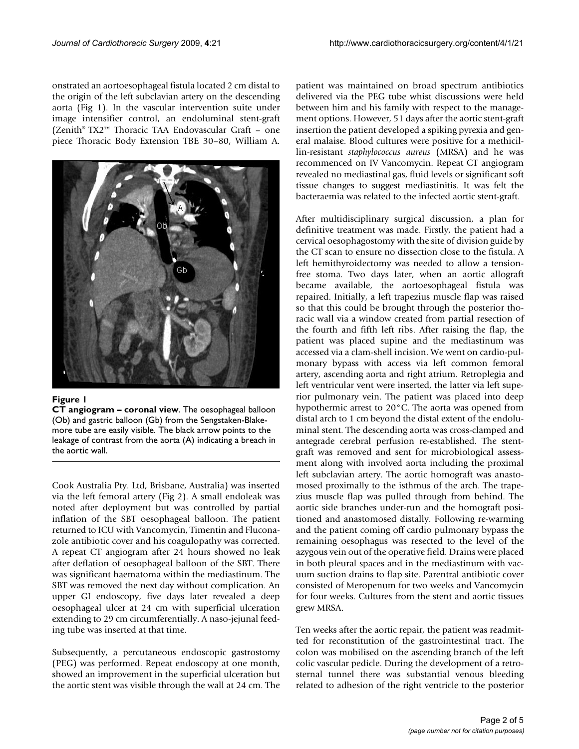onstrated an aortoesophageal fistula located 2 cm distal to the origin of the left subclavian artery on the descending aorta (Fig 1). In the vascular intervention suite under image intensifier control, an endoluminal stent-graft (Zenith® TX2™ Thoracic TAA Endovascular Graft – one piece Thoracic Body Extension TBE 30–80, William A.



#### **Figure 1**

**CT angiogram – coronal view**. The oesophageal balloon (Ob) and gastric balloon (Gb) from the Sengstaken-Blakemore tube are easily visible. The black arrow points to the leakage of contrast from the aorta (A) indicating a breach in the aortic wall.

Cook Australia Pty. Ltd, Brisbane, Australia) was inserted via the left femoral artery (Fig 2). A small endoleak was noted after deployment but was controlled by partial inflation of the SBT oesophageal balloon. The patient returned to ICU with Vancomycin, Timentin and Fluconazole antibiotic cover and his coagulopathy was corrected. A repeat CT angiogram after 24 hours showed no leak after deflation of oesophageal balloon of the SBT. There was significant haematoma within the mediastinum. The SBT was removed the next day without complication. An upper GI endoscopy, five days later revealed a deep oesophageal ulcer at 24 cm with superficial ulceration extending to 29 cm circumferentially. A naso-jejunal feeding tube was inserted at that time.

Subsequently, a percutaneous endoscopic gastrostomy (PEG) was performed. Repeat endoscopy at one month, showed an improvement in the superficial ulceration but the aortic stent was visible through the wall at 24 cm. The patient was maintained on broad spectrum antibiotics delivered via the PEG tube whist discussions were held between him and his family with respect to the management options. However, 51 days after the aortic stent-graft insertion the patient developed a spiking pyrexia and general malaise. Blood cultures were positive for a methicillin-resistant *staphylococcus aureus* (MRSA) and he was recommenced on IV Vancomycin. Repeat CT angiogram revealed no mediastinal gas, fluid levels or significant soft tissue changes to suggest mediastinitis. It was felt the bacteraemia was related to the infected aortic stent-graft.

After multidisciplinary surgical discussion, a plan for definitive treatment was made. Firstly, the patient had a cervical oesophagostomy with the site of division guide by the CT scan to ensure no dissection close to the fistula. A left hemithyroidectomy was needed to allow a tensionfree stoma. Two days later, when an aortic allograft became available, the aortoesophageal fistula was repaired. Initially, a left trapezius muscle flap was raised so that this could be brought through the posterior thoracic wall via a window created from partial resection of the fourth and fifth left ribs. After raising the flap, the patient was placed supine and the mediastinum was accessed via a clam-shell incision. We went on cardio-pulmonary bypass with access via left common femoral artery, ascending aorta and right atrium. Retroplegia and left ventricular vent were inserted, the latter via left superior pulmonary vein. The patient was placed into deep hypothermic arrest to 20°C. The aorta was opened from distal arch to 1 cm beyond the distal extent of the endoluminal stent. The descending aorta was cross-clamped and antegrade cerebral perfusion re-established. The stentgraft was removed and sent for microbiological assessment along with involved aorta including the proximal left subclavian artery. The aortic homograft was anastomosed proximally to the isthmus of the arch. The trapezius muscle flap was pulled through from behind. The aortic side branches under-run and the homograft positioned and anastomosed distally. Following re-warming and the patient coming off cardio pulmonary bypass the remaining oesophagus was resected to the level of the azygous vein out of the operative field. Drains were placed in both pleural spaces and in the mediastinum with vacuum suction drains to flap site. Parentral antibiotic cover consisted of Meropenum for two weeks and Vancomycin for four weeks. Cultures from the stent and aortic tissues grew MRSA.

Ten weeks after the aortic repair, the patient was readmitted for reconstitution of the gastrointestinal tract. The colon was mobilised on the ascending branch of the left colic vascular pedicle. During the development of a retrosternal tunnel there was substantial venous bleeding related to adhesion of the right ventricle to the posterior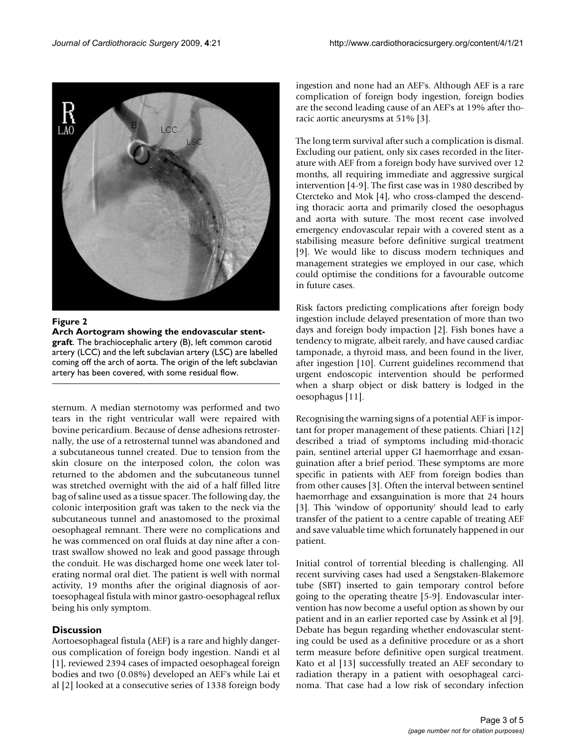

**Figure 2 Arch Aortogram showing the endovascular stentgraft**. The brachiocephalic artery (B), left common carotid artery (LCC) and the left subclavian artery (LSC) are labelled coming off the arch of aorta. The origin of the left subclavian artery has been covered, with some residual flow.

sternum. A median sternotomy was performed and two tears in the right ventricular wall were repaired with bovine pericardium. Because of dense adhesions retrosternally, the use of a retrosternal tunnel was abandoned and a subcutaneous tunnel created. Due to tension from the skin closure on the interposed colon, the colon was returned to the abdomen and the subcutaneous tunnel was stretched overnight with the aid of a half filled litre bag of saline used as a tissue spacer. The following day, the colonic interposition graft was taken to the neck via the subcutaneous tunnel and anastomosed to the proximal oesophageal remnant. There were no complications and he was commenced on oral fluids at day nine after a contrast swallow showed no leak and good passage through the conduit. He was discharged home one week later tolerating normal oral diet. The patient is well with normal activity, 19 months after the original diagnosis of aortoesophageal fistula with minor gastro-oesophageal reflux being his only symptom.

### **Discussion**

Aortoesophageal fistula (AEF) is a rare and highly dangerous complication of foreign body ingestion. Nandi et al [1], reviewed 2394 cases of impacted oesophageal foreign bodies and two (0.08%) developed an AEF's while Lai et al [2] looked at a consecutive series of 1338 foreign body ingestion and none had an AEF's. Although AEF is a rare complication of foreign body ingestion, foreign bodies are the second leading cause of an AEF's at 19% after thoracic aortic aneurysms at 51% [3].

The long term survival after such a complication is dismal. Excluding our patient, only six cases recorded in the literature with AEF from a foreign body have survived over 12 months, all requiring immediate and aggressive surgical intervention [4-9]. The first case was in 1980 described by Ctercteko and Mok [4], who cross-clamped the descending thoracic aorta and primarily closed the oesophagus and aorta with suture. The most recent case involved emergency endovascular repair with a covered stent as a stabilising measure before definitive surgical treatment [9]. We would like to discuss modern techniques and management strategies we employed in our case, which could optimise the conditions for a favourable outcome in future cases.

Risk factors predicting complications after foreign body ingestion include delayed presentation of more than two days and foreign body impaction [2]. Fish bones have a tendency to migrate, albeit rarely, and have caused cardiac tamponade, a thyroid mass, and been found in the liver, after ingestion [10]. Current guidelines recommend that urgent endoscopic intervention should be performed when a sharp object or disk battery is lodged in the oesophagus [11].

Recognising the warning signs of a potential AEF is important for proper management of these patients. Chiari [12] described a triad of symptoms including mid-thoracic pain, sentinel arterial upper GI haemorrhage and exsanguination after a brief period. These symptoms are more specific in patients with AEF from foreign bodies than from other causes [3]. Often the interval between sentinel haemorrhage and exsanguination is more that 24 hours [3]. This 'window of opportunity' should lead to early transfer of the patient to a centre capable of treating AEF and save valuable time which fortunately happened in our patient.

Initial control of torrential bleeding is challenging. All recent surviving cases had used a Sengstaken-Blakemore tube (SBT) inserted to gain temporary control before going to the operating theatre [5-9]. Endovascular intervention has now become a useful option as shown by our patient and in an earlier reported case by Assink et al [9]. Debate has begun regarding whether endovascular stenting could be used as a definitive procedure or as a short term measure before definitive open surgical treatment. Kato et al [13] successfully treated an AEF secondary to radiation therapy in a patient with oesophageal carcinoma. That case had a low risk of secondary infection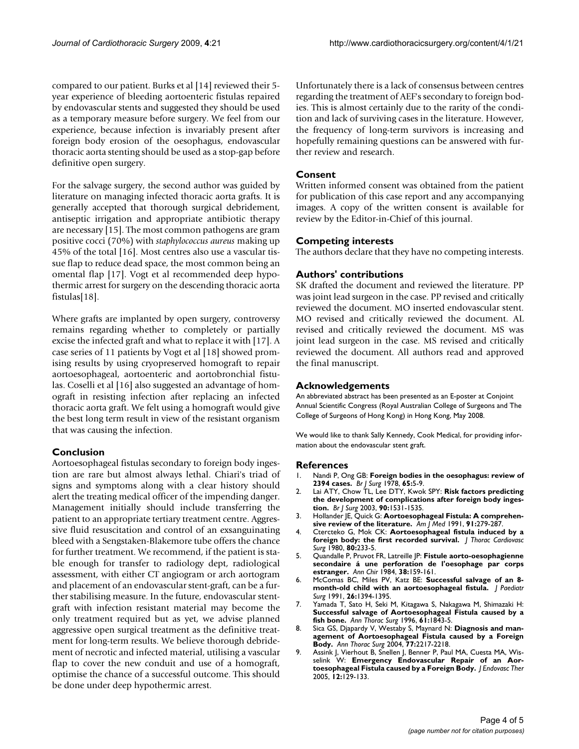compared to our patient. Burks et al [14] reviewed their 5 year experience of bleeding aortoenteric fistulas repaired by endovascular stents and suggested they should be used as a temporary measure before surgery. We feel from our experience, because infection is invariably present after foreign body erosion of the oesophagus, endovascular thoracic aorta stenting should be used as a stop-gap before definitive open surgery.

For the salvage surgery, the second author was guided by literature on managing infected thoracic aorta grafts. It is generally accepted that thorough surgical debridement, antiseptic irrigation and appropriate antibiotic therapy are necessary [15]. The most common pathogens are gram positive cocci (70%) with *staphylococcus aureus* making up 45% of the total [16]. Most centres also use a vascular tissue flap to reduce dead space, the most common being an omental flap [17]. Vogt et al recommended deep hypothermic arrest for surgery on the descending thoracic aorta fistulas[18].

Where grafts are implanted by open surgery, controversy remains regarding whether to completely or partially excise the infected graft and what to replace it with [17]. A case series of 11 patients by Vogt et al [18] showed promising results by using cryopreserved homograft to repair aortoesophageal, aortoenteric and aortobronchial fistulas. Coselli et al [16] also suggested an advantage of homograft in resisting infection after replacing an infected thoracic aorta graft. We felt using a homograft would give the best long term result in view of the resistant organism that was causing the infection.

#### **Conclusion**

Aortoesophageal fistulas secondary to foreign body ingestion are rare but almost always lethal. Chiari's triad of signs and symptoms along with a clear history should alert the treating medical officer of the impending danger. Management initially should include transferring the patient to an appropriate tertiary treatment centre. Aggressive fluid resuscitation and control of an exsanguinating bleed with a Sengstaken-Blakemore tube offers the chance for further treatment. We recommend, if the patient is stable enough for transfer to radiology dept, radiological assessment, with either CT angiogram or arch aortogram and placement of an endovascular stent-graft, can be a further stabilising measure. In the future, endovascular stentgraft with infection resistant material may become the only treatment required but as yet, we advise planned aggressive open surgical treatment as the definitive treatment for long-term results. We believe thorough debridement of necrotic and infected material, utilising a vascular flap to cover the new conduit and use of a homograft, optimise the chance of a successful outcome. This should be done under deep hypothermic arrest.

Unfortunately there is a lack of consensus between centres regarding the treatment of AEF's secondary to foreign bodies. This is almost certainly due to the rarity of the condition and lack of surviving cases in the literature. However, the frequency of long-term survivors is increasing and hopefully remaining questions can be answered with further review and research.

#### **Consent**

Written informed consent was obtained from the patient for publication of this case report and any accompanying images. A copy of the written consent is available for review by the Editor-in-Chief of this journal.

#### **Competing interests**

The authors declare that they have no competing interests.

#### **Authors' contributions**

SK drafted the document and reviewed the literature. PP was joint lead surgeon in the case. PP revised and critically reviewed the document. MO inserted endovascular stent. MO revised and critically reviewed the document. AL revised and critically reviewed the document. MS was joint lead surgeon in the case. MS revised and critically reviewed the document. All authors read and approved the final manuscript.

#### **Acknowledgements**

An abbreviated abstract has been presented as an E-poster at Conjoint Annual Scientific Congress (Royal Australian College of Surgeons and The College of Surgeons of Hong Kong) in Hong Kong, May 2008.

We would like to thank Sally Kennedy, Cook Medical, for providing information about the endovascular stent graft.

#### **References**

- 1. Nandi P, Ong GB: **[Foreign bodies in the oesophagus: review of](http://www.ncbi.nlm.nih.gov/entrez/query.fcgi?cmd=Retrieve&db=PubMed&dopt=Abstract&list_uids=623968) [2394 cases.](http://www.ncbi.nlm.nih.gov/entrez/query.fcgi?cmd=Retrieve&db=PubMed&dopt=Abstract&list_uids=623968)** *Br J Surg* 1978, **65:**5-9.
- 2. Lai ATY, Chow TL, Lee DTY, Kwok SPY: **[Risk factors predicting](http://www.ncbi.nlm.nih.gov/entrez/query.fcgi?cmd=Retrieve&db=PubMed&dopt=Abstract&list_uids=14648732) [the development of complications after foreign body inges](http://www.ncbi.nlm.nih.gov/entrez/query.fcgi?cmd=Retrieve&db=PubMed&dopt=Abstract&list_uids=14648732)[tion.](http://www.ncbi.nlm.nih.gov/entrez/query.fcgi?cmd=Retrieve&db=PubMed&dopt=Abstract&list_uids=14648732)** *Br J Surg* 2003, **90:**1531-1535.
- 3. Hollander JE, Quick G: **[Aortoesophageal Fistula: A comprehen](http://www.ncbi.nlm.nih.gov/entrez/query.fcgi?cmd=Retrieve&db=PubMed&dopt=Abstract&list_uids=1892150)[sive review of the literature.](http://www.ncbi.nlm.nih.gov/entrez/query.fcgi?cmd=Retrieve&db=PubMed&dopt=Abstract&list_uids=1892150)** *Am J Med* 1991, **91:**279-287.
- 4. Ctercteko G, Mok CK: **[Aortoesophageal fistula induced by a](http://www.ncbi.nlm.nih.gov/entrez/query.fcgi?cmd=Retrieve&db=PubMed&dopt=Abstract&list_uids=7401676) [foreign body: the first recorded survival.](http://www.ncbi.nlm.nih.gov/entrez/query.fcgi?cmd=Retrieve&db=PubMed&dopt=Abstract&list_uids=7401676)** *J Thorac Cardiovasc Surg* 1980, **80:**233-5.
- 5. Quandalle P, Pruvot FR, Latreille JP: **[Fistule aorto-oesophagienne](http://www.ncbi.nlm.nih.gov/entrez/query.fcgi?cmd=Retrieve&db=PubMed&dopt=Abstract&list_uids=6732134) [secondaire á une perforation de l'oesophage par corps](http://www.ncbi.nlm.nih.gov/entrez/query.fcgi?cmd=Retrieve&db=PubMed&dopt=Abstract&list_uids=6732134) [estranger.](http://www.ncbi.nlm.nih.gov/entrez/query.fcgi?cmd=Retrieve&db=PubMed&dopt=Abstract&list_uids=6732134)** *Ann Chir* 1984, **38:**159-161.
- 6. McComas BC, Miles PV, Katz BE: **Successful salvage of an 8 month-old child with an aortoesophageal fistula.** *J Paediatr Surg* 1991, **26:**1394-1395.
- 7. Yamada T, Sato H, Seki M, Kitagawa S, Nakagawa M, Shimazaki H: **[Successful salvage of Aortoesophageal Fistula caused by a](http://www.ncbi.nlm.nih.gov/entrez/query.fcgi?cmd=Retrieve&db=PubMed&dopt=Abstract&list_uids=8651805) [fish bone.](http://www.ncbi.nlm.nih.gov/entrez/query.fcgi?cmd=Retrieve&db=PubMed&dopt=Abstract&list_uids=8651805)** *Ann Thorac Surg* 1996, **61:**1843-5.
- 8. Sica GS, Djapardy V, Westaby S, Maynard N: **[Diagnosis and man](http://www.ncbi.nlm.nih.gov/entrez/query.fcgi?cmd=Retrieve&db=PubMed&dopt=Abstract&list_uids=15172312)[agement of Aortoesophageal Fistula caused by a Foreign](http://www.ncbi.nlm.nih.gov/entrez/query.fcgi?cmd=Retrieve&db=PubMed&dopt=Abstract&list_uids=15172312) [Body.](http://www.ncbi.nlm.nih.gov/entrez/query.fcgi?cmd=Retrieve&db=PubMed&dopt=Abstract&list_uids=15172312)** *Ann Thorac Surg* 2004, **77:**2217-2218.
- 9. Assink J, Vierhout B, Snellen J, Benner P, Paul MA, Cuesta MA, Wisselink W: **[Emergency Endovascular Repair of an Aor](http://www.ncbi.nlm.nih.gov/entrez/query.fcgi?cmd=Retrieve&db=PubMed&dopt=Abstract&list_uids=15683264)[toesophageal Fistula caused by a Foreign Body.](http://www.ncbi.nlm.nih.gov/entrez/query.fcgi?cmd=Retrieve&db=PubMed&dopt=Abstract&list_uids=15683264)** *J Endovasc Ther* 2005, **12:**129-133.